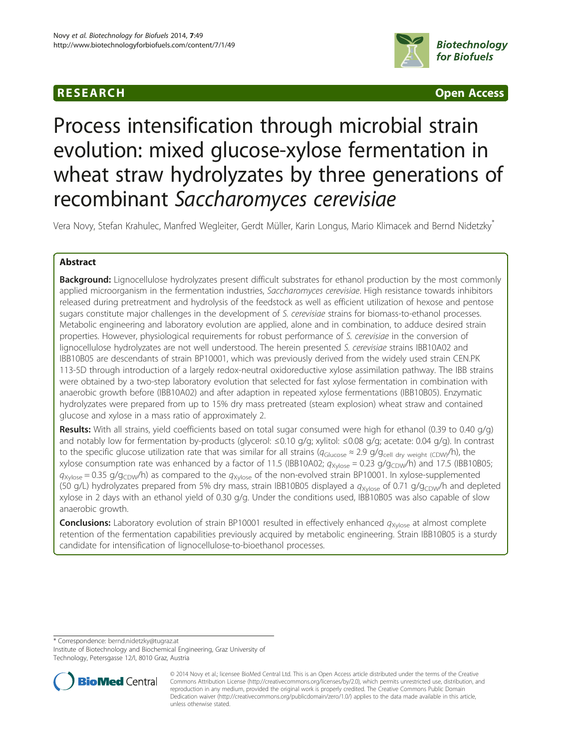## **RESEARCH CHINESEARCH CHINESEARCH CHINESE**



# Process intensification through microbial strain evolution: mixed glucose-xylose fermentation in wheat straw hydrolyzates by three generations of recombinant Saccharomyces cerevisiae

Vera Novy, Stefan Krahulec, Manfred Wegleiter, Gerdt Müller, Karin Longus, Mario Klimacek and Bernd Nidetzky\*

## Abstract

**Background:** Lignocellulose hydrolyzates present difficult substrates for ethanol production by the most commonly applied microorganism in the fermentation industries, Saccharomyces cerevisiae. High resistance towards inhibitors released during pretreatment and hydrolysis of the feedstock as well as efficient utilization of hexose and pentose sugars constitute major challenges in the development of S. cerevisiae strains for biomass-to-ethanol processes. Metabolic engineering and laboratory evolution are applied, alone and in combination, to adduce desired strain properties. However, physiological requirements for robust performance of S. cerevisiae in the conversion of lignocellulose hydrolyzates are not well understood. The herein presented S. cerevisiae strains IBB10A02 and IBB10B05 are descendants of strain BP10001, which was previously derived from the widely used strain CEN.PK 113-5D through introduction of a largely redox-neutral oxidoreductive xylose assimilation pathway. The IBB strains were obtained by a two-step laboratory evolution that selected for fast xylose fermentation in combination with anaerobic growth before (IBB10A02) and after adaption in repeated xylose fermentations (IBB10B05). Enzymatic hydrolyzates were prepared from up to 15% dry mass pretreated (steam explosion) wheat straw and contained glucose and xylose in a mass ratio of approximately 2.

Results: With all strains, yield coefficients based on total sugar consumed were high for ethanol (0.39 to 0.40 g/g) and notably low for fermentation by-products (glycerol: ≤0.10 g/g; xylitol: ≤0.08 g/g; acetate: 0.04 g/g). In contrast to the specific glucose utilization rate that was similar for all strains ( $q_{\text{Glucose}} \approx 2.9$  g/g<sub>cell dry weight (CDW)</sub>/h), the xylose consumption rate was enhanced by a factor of 11.5 (IBB10A02;  $q_{Xylose} = 0.23$  g/g<sub>CDW</sub>/h) and 17.5 (IBB10B05;  $q_{Xylose} = 0.35$  g/g<sub>CDW</sub>/h) as compared to the  $q_{Xylose}$  of the non-evolved strain BP10001. In xylose-supplemented (50 g/L) hydrolyzates prepared from 5% dry mass, strain IBB10B05 displayed a  $q_{Xylose}$  of 0.71 g/g<sub>CDW</sub>/h and depleted xylose in 2 days with an ethanol yield of 0.30 g/g. Under the conditions used, IBB10B05 was also capable of slow anaerobic growth.

**Conclusions:** Laboratory evolution of strain BP10001 resulted in effectively enhanced  $q_{Xv|ose}$  at almost complete retention of the fermentation capabilities previously acquired by metabolic engineering. Strain IBB10B05 is a sturdy candidate for intensification of lignocellulose-to-bioethanol processes.

\* Correspondence: [bernd.nidetzky@tugraz.at](mailto:bernd.nidetzky@tugraz.at)

Institute of Biotechnology and Biochemical Engineering, Graz University of Technology, Petersgasse 12/I, 8010 Graz, Austria



<sup>© 2014</sup> Novy et al.; licensee BioMed Central Ltd. This is an Open Access article distributed under the terms of the Creative Commons Attribution License [\(http://creativecommons.org/licenses/by/2.0\)](http://creativecommons.org/licenses/by/2.0), which permits unrestricted use, distribution, and reproduction in any medium, provided the original work is properly credited. The Creative Commons Public Domain Dedication waiver [\(http://creativecommons.org/publicdomain/zero/1.0/](http://creativecommons.org/publicdomain/zero/1.0/)) applies to the data made available in this article, unless otherwise stated.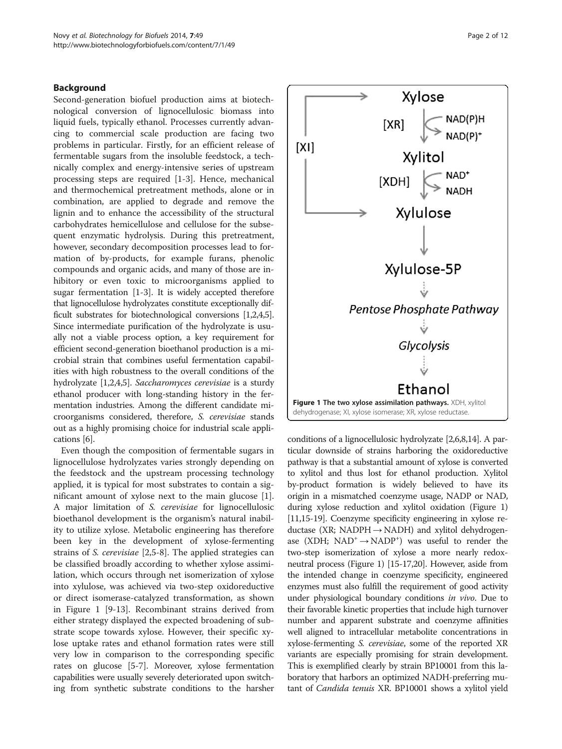#### <span id="page-1-0"></span>Background

Second-generation biofuel production aims at biotechnological conversion of lignocellulosic biomass into liquid fuels, typically ethanol. Processes currently advancing to commercial scale production are facing two problems in particular. Firstly, for an efficient release of fermentable sugars from the insoluble feedstock, a technically complex and energy-intensive series of upstream processing steps are required [\[1](#page-10-0)-[3\]](#page-10-0). Hence, mechanical and thermochemical pretreatment methods, alone or in combination, are applied to degrade and remove the lignin and to enhance the accessibility of the structural carbohydrates hemicellulose and cellulose for the subsequent enzymatic hydrolysis. During this pretreatment, however, secondary decomposition processes lead to formation of by-products, for example furans, phenolic compounds and organic acids, and many of those are inhibitory or even toxic to microorganisms applied to sugar fermentation [[1-3](#page-10-0)]. It is widely accepted therefore that lignocellulose hydrolyzates constitute exceptionally difficult substrates for biotechnological conversions [[1,2,4,5](#page-10-0)]. Since intermediate purification of the hydrolyzate is usually not a viable process option, a key requirement for efficient second-generation bioethanol production is a microbial strain that combines useful fermentation capabilities with high robustness to the overall conditions of the hydrolyzate [\[1,2,4,5\]](#page-10-0). Saccharomyces cerevisiae is a sturdy ethanol producer with long-standing history in the fermentation industries. Among the different candidate microorganisms considered, therefore, S. cerevisiae stands out as a highly promising choice for industrial scale applications [[6](#page-10-0)].

Even though the composition of fermentable sugars in lignocellulose hydrolyzates varies strongly depending on the feedstock and the upstream processing technology applied, it is typical for most substrates to contain a significant amount of xylose next to the main glucose [\[1](#page-10-0)]. A major limitation of S. cerevisiae for lignocellulosic bioethanol development is the organism's natural inability to utilize xylose. Metabolic engineering has therefore been key in the development of xylose-fermenting strains of S. cerevisiae [[2](#page-10-0),[5-8\]](#page-10-0). The applied strategies can be classified broadly according to whether xylose assimilation, which occurs through net isomerization of xylose into xylulose, was achieved via two-step oxidoreductive or direct isomerase-catalyzed transformation, as shown in Figure 1 [[9-13\]](#page-11-0). Recombinant strains derived from either strategy displayed the expected broadening of substrate scope towards xylose. However, their specific xylose uptake rates and ethanol formation rates were still very low in comparison to the corresponding specific rates on glucose [[5-7\]](#page-10-0). Moreover, xylose fermentation capabilities were usually severely deteriorated upon switching from synthetic substrate conditions to the harsher



conditions of a lignocellulosic hydrolyzate [\[2,6,8,](#page-10-0)[14](#page-11-0)]. A particular downside of strains harboring the oxidoreductive pathway is that a substantial amount of xylose is converted to xylitol and thus lost for ethanol production. Xylitol by-product formation is widely believed to have its origin in a mismatched coenzyme usage, NADP or NAD, during xylose reduction and xylitol oxidation (Figure 1) [[11,15-19\]](#page-11-0). Coenzyme specificity engineering in xylose reductase (XR; NADPH  $\rightarrow$  NADH) and xylitol dehydrogenase (XDH;  $NAD^+ \rightarrow NADP^+$ ) was useful to render the two-step isomerization of xylose a more nearly redoxneutral process (Figure 1) [[15](#page-11-0)-[17,20\]](#page-11-0). However, aside from the intended change in coenzyme specificity, engineered enzymes must also fulfill the requirement of good activity under physiological boundary conditions in vivo. Due to their favorable kinetic properties that include high turnover number and apparent substrate and coenzyme affinities well aligned to intracellular metabolite concentrations in xylose-fermenting S. cerevisiae, some of the reported XR variants are especially promising for strain development. This is exemplified clearly by strain BP10001 from this laboratory that harbors an optimized NADH-preferring mutant of Candida tenuis XR. BP10001 shows a xylitol yield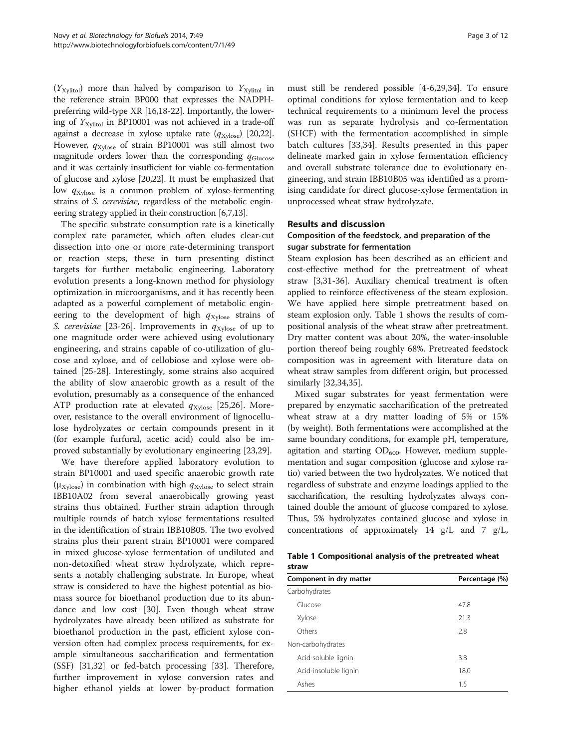<span id="page-2-0"></span> $(Y_{Xylitol})$  more than halved by comparison to  $Y_{Xylitol}$  in the reference strain BP000 that expresses the NADPHpreferring wild-type XR [\[16,18-22](#page-11-0)]. Importantly, the lowering of  $Y_{\text{Xvlitol}}$  in BP10001 was not achieved in a trade-off against a decrease in xylose uptake rate  $(q_{\text{Xvlose}})$  [\[20,22](#page-11-0)]. However,  $q_{Xvlose}$  of strain BP10001 was still almost two magnitude orders lower than the corresponding  $q_{\text{Glucose}}$ and it was certainly insufficient for viable co-fermentation of glucose and xylose [[20,22\]](#page-11-0). It must be emphasized that low  $q_{Xvlose}$  is a common problem of xylose-fermenting strains of S. cerevisiae, regardless of the metabolic engineering strategy applied in their construction [[6,7](#page-10-0)[,13\]](#page-11-0).

The specific substrate consumption rate is a kinetically complex rate parameter, which often eludes clear-cut dissection into one or more rate-determining transport or reaction steps, these in turn presenting distinct targets for further metabolic engineering. Laboratory evolution presents a long-known method for physiology optimization in microorganisms, and it has recently been adapted as a powerful complement of metabolic engineering to the development of high  $q_{Xvlose}$  strains of S. cerevisiae [[23-26](#page-11-0)]. Improvements in  $q_{\text{Xvlose}}$  of up to one magnitude order were achieved using evolutionary engineering, and strains capable of co-utilization of glucose and xylose, and of cellobiose and xylose were obtained [\[25-28](#page-11-0)]. Interestingly, some strains also acquired the ability of slow anaerobic growth as a result of the evolution, presumably as a consequence of the enhanced ATP production rate at elevated  $q_{\text{Xvlose}}$  [[25,26\]](#page-11-0). Moreover, resistance to the overall environment of lignocellulose hydrolyzates or certain compounds present in it (for example furfural, acetic acid) could also be improved substantially by evolutionary engineering [\[23,29\]](#page-11-0).

We have therefore applied laboratory evolution to strain BP10001 and used specific anaerobic growth rate ( $\mu_{\text{Xvlose}}$ ) in combination with high  $q_{\text{Xvlose}}$  to select strain IBB10A02 from several anaerobically growing yeast strains thus obtained. Further strain adaption through multiple rounds of batch xylose fermentations resulted in the identification of strain IBB10B05. The two evolved strains plus their parent strain BP10001 were compared in mixed glucose-xylose fermentation of undiluted and non-detoxified wheat straw hydrolyzate, which represents a notably challenging substrate. In Europe, wheat straw is considered to have the highest potential as biomass source for bioethanol production due to its abundance and low cost [\[30](#page-11-0)]. Even though wheat straw hydrolyzates have already been utilized as substrate for bioethanol production in the past, efficient xylose conversion often had complex process requirements, for example simultaneous saccharification and fermentation (SSF) [[31,32\]](#page-11-0) or fed-batch processing [\[33](#page-11-0)]. Therefore, further improvement in xylose conversion rates and higher ethanol yields at lower by-product formation

must still be rendered possible [\[4-6](#page-10-0),[29](#page-11-0),[34](#page-11-0)]. To ensure optimal conditions for xylose fermentation and to keep technical requirements to a minimum level the process was run as separate hydrolysis and co-fermentation (SHCF) with the fermentation accomplished in simple batch cultures [[33](#page-11-0),[34](#page-11-0)]. Results presented in this paper delineate marked gain in xylose fermentation efficiency and overall substrate tolerance due to evolutionary engineering, and strain IBB10B05 was identified as a promising candidate for direct glucose-xylose fermentation in unprocessed wheat straw hydrolyzate.

## Results and discussion

## Composition of the feedstock, and preparation of the sugar substrate for fermentation

Steam explosion has been described as an efficient and cost-effective method for the pretreatment of wheat straw [\[3](#page-10-0)[,31](#page-11-0)-[36](#page-11-0)]. Auxiliary chemical treatment is often applied to reinforce effectiveness of the steam explosion. We have applied here simple pretreatment based on steam explosion only. Table 1 shows the results of compositional analysis of the wheat straw after pretreatment. Dry matter content was about 20%, the water-insoluble portion thereof being roughly 68%. Pretreated feedstock composition was in agreement with literature data on wheat straw samples from different origin, but processed similarly [\[32,34,35](#page-11-0)].

Mixed sugar substrates for yeast fermentation were prepared by enzymatic saccharification of the pretreated wheat straw at a dry matter loading of 5% or 15% (by weight). Both fermentations were accomplished at the same boundary conditions, for example pH, temperature, agitation and starting  $OD_{600}$ . However, medium supplementation and sugar composition (glucose and xylose ratio) varied between the two hydrolyzates. We noticed that regardless of substrate and enzyme loadings applied to the saccharification, the resulting hydrolyzates always contained double the amount of glucose compared to xylose. Thus, 5% hydrolyzates contained glucose and xylose in concentrations of approximately 14 g/L and 7 g/L,

|       | Table 1 Compositional analysis of the pretreated wheat |  |  |  |
|-------|--------------------------------------------------------|--|--|--|
| straw |                                                        |  |  |  |

| Component in dry matter | Percentage (%) |  |  |  |
|-------------------------|----------------|--|--|--|
| Carbohydrates           |                |  |  |  |
| Glucose                 | 47.8           |  |  |  |
| Xylose                  | 21.3           |  |  |  |
| Others                  | 2.8            |  |  |  |
| Non-carbohydrates       |                |  |  |  |
| Acid-soluble lignin     | 3.8            |  |  |  |
| Acid-insoluble lignin   | 18.0           |  |  |  |
| Ashes                   | 1.5            |  |  |  |
|                         |                |  |  |  |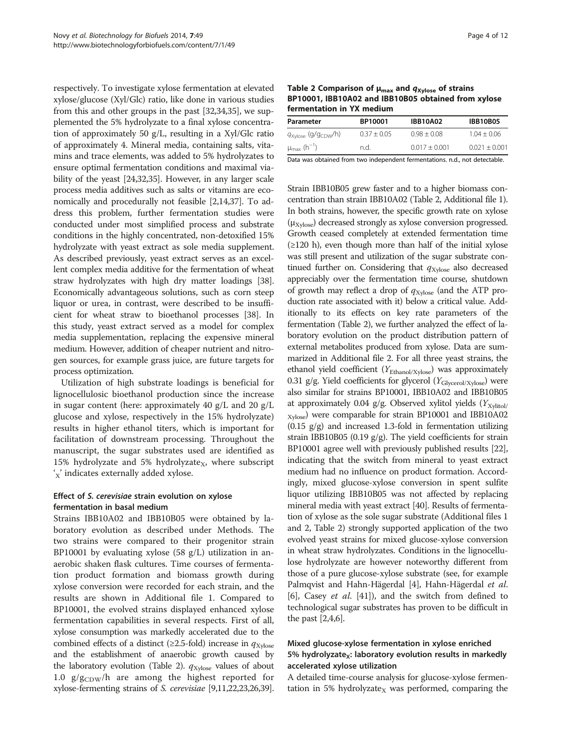<span id="page-3-0"></span>respectively. To investigate xylose fermentation at elevated xylose/glucose (Xyl/Glc) ratio, like done in various studies from this and other groups in the past [[32,34,35\]](#page-11-0), we supplemented the 5% hydrolyzate to a final xylose concentration of approximately 50 g/L, resulting in a Xyl/Glc ratio of approximately 4. Mineral media, containing salts, vitamins and trace elements, was added to 5% hydrolyzates to ensure optimal fermentation conditions and maximal viability of the yeast [[24,32,35\]](#page-11-0). However, in any larger scale process media additives such as salts or vitamins are economically and procedurally not feasible [\[2](#page-10-0)[,14,37](#page-11-0)]. To address this problem, further fermentation studies were conducted under most simplified process and substrate conditions in the highly concentrated, non-detoxified 15% hydrolyzate with yeast extract as sole media supplement. As described previously, yeast extract serves as an excellent complex media additive for the fermentation of wheat straw hydrolyzates with high dry matter loadings [[38](#page-11-0)]. Economically advantageous solutions, such as corn steep liquor or urea, in contrast, were described to be insufficient for wheat straw to bioethanol processes [[38](#page-11-0)]. In this study, yeast extract served as a model for complex media supplementation, replacing the expensive mineral medium. However, addition of cheaper nutrient and nitrogen sources, for example grass juice, are future targets for process optimization.

Utilization of high substrate loadings is beneficial for lignocellulosic bioethanol production since the increase in sugar content (here: approximately 40 g/L and 20 g/L glucose and xylose, respectively in the 15% hydrolyzate) results in higher ethanol titers, which is important for facilitation of downstream processing. Throughout the manuscript, the sugar substrates used are identified as 15% hydrolyzate and 5% hydrolyzate<sub>X</sub>, where subscript 'x' indicates externally added xylose.

## Effect of S. cerevisiae strain evolution on xylose fermentation in basal medium

Strains IBB10A02 and IBB10B05 were obtained by laboratory evolution as described under [Methods](#page-8-0). The two strains were compared to their progenitor strain BP10001 by evaluating xylose  $(58 \text{ g/L})$  utilization in anaerobic shaken flask cultures. Time courses of fermentation product formation and biomass growth during xylose conversion were recorded for each strain, and the results are shown in Additional file [1.](#page-10-0) Compared to BP10001, the evolved strains displayed enhanced xylose fermentation capabilities in several respects. First of all, xylose consumption was markedly accelerated due to the combined effects of a distinct ( $\geq$ 2.5-fold) increase in  $q_{\text{Xvlose}}$ and the establishment of anaerobic growth caused by the laboratory evolution (Table 2).  $q_{\text{Xylose}}$  values of about 1.0  $g/g_{CDW}/h$  are among the highest reported for xylose-fermenting strains of S. cerevisiae [[9,11,22,23,26,39](#page-11-0)].

Table 2 Comparison of  $\mu_{\text{max}}$  and  $q_{\text{Xylose}}$  of strains BP10001, IBB10A02 and IBB10B05 obtained from xylose fermentation in YX medium

| Parameter                                   | BP10001       | <b>IBB10A02</b> | <b>IBB10B05</b> |  |  |  |
|---------------------------------------------|---------------|-----------------|-----------------|--|--|--|
| $q_{\text{Xylose}}$ (g/g <sub>CDW</sub> /h) | $0.37 + 0.05$ | $0.98 + 0.08$   | $1.04 + 0.06$   |  |  |  |
| $\mu_{\text{max}}$ (h <sup>-1</sup> )       | n.d.          | $0.017 + 0.001$ | $0.021 + 0.001$ |  |  |  |
|                                             |               |                 |                 |  |  |  |

Data was obtained from two independent fermentations. n.d., not detectable.

Strain IBB10B05 grew faster and to a higher biomass concentration than strain IBB10A02 (Table 2, Additional file [1](#page-10-0)). In both strains, however, the specific growth rate on xylose  $(\mu_{Xylose})$  decreased strongly as xylose conversion progressed. Growth ceased completely at extended fermentation time (≥120 h), even though more than half of the initial xylose was still present and utilization of the sugar substrate continued further on. Considering that  $q_{\text{Xylose}}$  also decreased appreciably over the fermentation time course, shutdown of growth may reflect a drop of  $q_{\text{Xylose}}$  (and the ATP production rate associated with it) below a critical value. Additionally to its effects on key rate parameters of the fermentation (Table 2), we further analyzed the effect of laboratory evolution on the product distribution pattern of external metabolites produced from xylose. Data are summarized in Additional file [2.](#page-10-0) For all three yeast strains, the ethanol yield coefficient ( $Y_{\text{Ethanol/Xylose}}$ ) was approximately 0.31 g/g. Yield coefficients for glycerol  $(Y_{\text{Glycerol/Xylose}})$  were also similar for strains BP10001, IBB10A02 and IBB10B05 at approximately 0.04 g/g. Observed xylitol yields  $(Y_{\text{Xylitol}}/Y_{\text{Xylitol}}/Y_{\text{Xylitol}}/Y_{\text{Xylitol}}/Y_{\text{Xylitol}}/Y_{\text{Xylitol}}/Y_{\text{Xylitol}}/Y_{\text{Xylitol}}/Y_{\text{Xylitol}}/Y_{\text{Xylitol}}/Y_{\text{Xylitol}}/Y_{\text{Xylitol}}/Y_{\text{Xylitol}}/Y_{\text{Xylitol}}/Y_{\text{Xylitol}}/Y_{\text{Xylitol}}/Y_{\text{Xylitol}}$ Xylose) were comparable for strain BP10001 and IBB10A02  $(0.15 \text{ g/g})$  and increased 1.3-fold in fermentation utilizing strain IBB10B05 (0.19 g/g). The yield coefficients for strain BP10001 agree well with previously published results [[22](#page-11-0)], indicating that the switch from mineral to yeast extract medium had no influence on product formation. Accordingly, mixed glucose-xylose conversion in spent sulfite liquor utilizing IBB10B05 was not affected by replacing mineral media with yeast extract [\[40](#page-11-0)]. Results of fermentation of xylose as the sole sugar substrate (Additional files [1](#page-10-0) and [2,](#page-10-0) Table 2) strongly supported application of the two evolved yeast strains for mixed glucose-xylose conversion in wheat straw hydrolyzates. Conditions in the lignocellulose hydrolyzate are however noteworthy different from those of a pure glucose-xylose substrate (see, for example Palmqvist and Hahn-Hägerdal [[4](#page-10-0)], Hahn-Hägerdal et al. [[6\]](#page-10-0), Casey et al. [\[41\]](#page-11-0)), and the switch from defined to technological sugar substrates has proven to be difficult in the past [\[2,4,6](#page-10-0)].

## Mixed glucose-xylose fermentation in xylose enriched 5% hydrolyzate<sub>x</sub>: laboratory evolution results in markedly accelerated xylose utilization

A detailed time-course analysis for glucose-xylose fermentation in 5% hydrolyzate<sub>X</sub> was performed, comparing the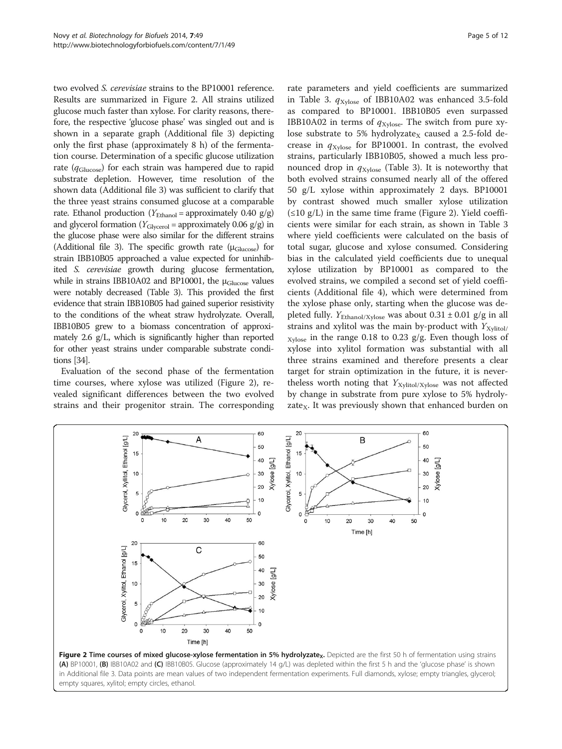<span id="page-4-0"></span>two evolved S. cerevisiae strains to the BP10001 reference. Results are summarized in Figure 2. All strains utilized glucose much faster than xylose. For clarity reasons, therefore, the respective 'glucose phase' was singled out and is shown in a separate graph (Additional file [3\)](#page-10-0) depicting only the first phase (approximately 8 h) of the fermentation course. Determination of a specific glucose utilization rate ( $q_{\text{Glucose}}$ ) for each strain was hampered due to rapid substrate depletion. However, time resolution of the shown data (Additional file [3](#page-10-0)) was sufficient to clarify that the three yeast strains consumed glucose at a comparable rate. Ethanol production ( $Y_{\text{Ethanol}}$  = approximately 0.40 g/g) and glycerol formation ( $Y_{\text{Glvcerol}}$  = approximately 0.06 g/g) in the glucose phase were also similar for the different strains (Additional file [3](#page-10-0)). The specific growth rate  $(\mu_{\text{Glucose}})$  for strain IBB10B05 approached a value expected for uninhibited S. cerevisiae growth during glucose fermentation, while in strains IBB10A02 and BP10001, the  $\mu_{\rm Glucose}$  values were notably decreased (Table [3\)](#page-5-0). This provided the first evidence that strain IBB10B05 had gained superior resistivity to the conditions of the wheat straw hydrolyzate. Overall, IBB10B05 grew to a biomass concentration of approximately 2.6 g/L, which is significantly higher than reported for other yeast strains under comparable substrate conditions [\[34](#page-11-0)].

Evaluation of the second phase of the fermentation time courses, where xylose was utilized (Figure 2), revealed significant differences between the two evolved strains and their progenitor strain. The corresponding rate parameters and yield coefficients are summarized in Table [3.](#page-5-0)  $q_{Xvlose}$  of IBB10A02 was enhanced 3.5-fold as compared to BP10001. IBB10B05 even surpassed IBB10A02 in terms of  $q_{Xylose}$ . The switch from pure xylose substrate to 5% hydrolyzate<sub>x</sub> caused a 2.5-fold decrease in  $q_{Xvlose}$  for BP10001. In contrast, the evolved strains, particularly IBB10B05, showed a much less pronounced drop in  $q_{\text{Xvlose}}$  (Table [3](#page-5-0)). It is noteworthy that both evolved strains consumed nearly all of the offered 50 g/L xylose within approximately 2 days. BP10001 by contrast showed much smaller xylose utilization (≤10 g/L) in the same time frame (Figure 2). Yield coefficients were similar for each strain, as shown in Table [3](#page-5-0) where yield coefficients were calculated on the basis of total sugar, glucose and xylose consumed. Considering bias in the calculated yield coefficients due to unequal xylose utilization by BP10001 as compared to the evolved strains, we compiled a second set of yield coefficients (Additional file [4](#page-10-0)), which were determined from the xylose phase only, starting when the glucose was depleted fully.  $Y_{\text{Ethanol/Xylose}}$  was about 0.31 ± 0.01 g/g in all strains and xylitol was the main by-product with  $Y_{\text{Xvlitol}}$  $X_{\text{ylose}}$  in the range 0.18 to 0.23 g/g. Even though loss of xylose into xylitol formation was substantial with all three strains examined and therefore presents a clear target for strain optimization in the future, it is nevertheless worth noting that  $Y_{\text{Xylitol/Xylose}}$  was not affected by change in substrate from pure xylose to 5% hydrolyzate<sub>x</sub>. It was previously shown that enhanced burden on



(A) BP10001, (B) IBB10A02 and (C) IBB10B05. Glucose (approximately 14 g/L) was depleted within the first 5 h and the 'glucose phase' is shown in Additional file [3.](#page-10-0) Data points are mean values of two independent fermentation experiments. Full diamonds, xylose; empty triangles, glycerol; empty squares, xylitol; empty circles, ethanol.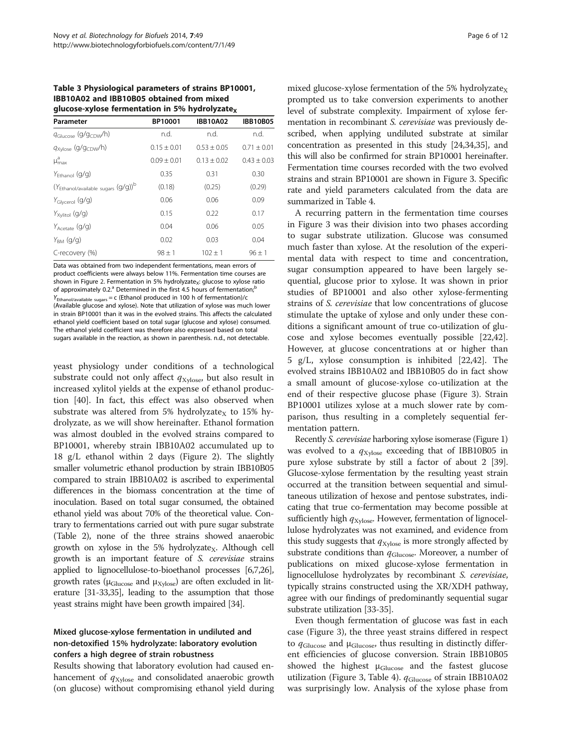<span id="page-5-0"></span>Table 3 Physiological parameters of strains BP10001, IBB10A02 and IBB10B05 obtained from mixed glucose-xylose fermentation in 5% hydrolyzate $\sqrt{ }$ 

| Parameter                                      | BP10001         | <b>IBB10A02</b> | <b>IBB10B05</b> |
|------------------------------------------------|-----------------|-----------------|-----------------|
| $q_{\text{Glucose}}$ (g/g <sub>CDW</sub> /h)   | n.d.            | n.d.            | n.d.            |
| q <sub>Xylose</sub> (g/g <sub>CDW</sub> /h)    | $0.15 \pm 0.01$ | $0.53 + 0.05$   | $0.71 + 0.01$   |
| $\mu_{\text{max}}^{\text{a}}$                  | $0.09 + 0.01$   | $0.13 + 0.02$   | $0.43 + 0.03$   |
| $Y_{\text{Fthanol}}(q/q)$                      | 0.35            | 0.31            | 0.30            |
| (YEthanol/available sugars (g/g)) <sup>b</sup> | (0.18)          | (0.25)          | (0.29)          |
| $Y_{\text{Glycerol}}(q/q)$                     | 0.06            | 0.06            | 0.09            |
| $Y_{Xylitol}$ (g/g)                            | 0.15            | 0.22            | 0.17            |
| $Y_{A\text{cetta}}(q/q)$                       | 0.04            | 0.06            | 0.05            |
| $Y_{BM}$ (g/g)                                 | 0.02            | 0.03            | 0.04            |
| C-recovery (%)                                 | $98 \pm 1$      | $102 \pm 1$     | $96 \pm 1$      |

Data was obtained from two independent fermentations, mean errors of product coefficients were always below 11%. Fermentation time courses are shown in Figure [2.](#page-4-0) Fermentation in 5% hydrolyzate<sub>x</sub>: glucose to xylose ratio of approximately 0.2.<sup>a</sup> Determined in the first 4.5 hours of fermentation:  $y_1$ /available sugars = c (Ethanol produced in 100 h of fermentation)/c (Available glucose and xylose). Note that utilization of xylose was much lower in strain BP10001 than it was in the evolved strains. This affects the calculated ethanol yield coefficient based on total sugar (glucose and xylose) consumed. The ethanol yield coefficient was therefore also expressed based on total sugars available in the reaction, as shown in parenthesis. n.d., not detectable.

yeast physiology under conditions of a technological substrate could not only affect  $q_{Xylose}$ , but also result in increased xylitol yields at the expense of ethanol production [\[40](#page-11-0)]. In fact, this effect was also observed when substrate was altered from 5% hydrolyzate<sub>x</sub> to 15% hydrolyzate, as we will show hereinafter. Ethanol formation was almost doubled in the evolved strains compared to BP10001, whereby strain IBB10A02 accumulated up to 18 g/L ethanol within 2 days (Figure [2\)](#page-4-0). The slightly smaller volumetric ethanol production by strain IBB10B05 compared to strain IBB10A02 is ascribed to experimental differences in the biomass concentration at the time of inoculation. Based on total sugar consumed, the obtained ethanol yield was about 70% of the theoretical value. Contrary to fermentations carried out with pure sugar substrate (Table [2\)](#page-3-0), none of the three strains showed anaerobic growth on xylose in the 5% hydrolyzate<sub>X</sub>. Although cell growth is an important feature of S. cerevisiae strains applied to lignocellulose-to-bioethanol processes [[6,7](#page-10-0)[,26](#page-11-0)], growth rates ( $\mu$ <sub>Glucose</sub> and  $\mu$ <sub>Xylose</sub>) are often excluded in literature [\[31-33,35](#page-11-0)], leading to the assumption that those yeast strains might have been growth impaired [[34](#page-11-0)].

## Mixed glucose-xylose fermentation in undiluted and non-detoxified 15% hydrolyzate: laboratory evolution confers a high degree of strain robustness

Results showing that laboratory evolution had caused enhancement of  $q_{\text{Xylose}}$  and consolidated anaerobic growth (on glucose) without compromising ethanol yield during

mixed glucose-xylose fermentation of the 5% hydrolyzate $_X$ prompted us to take conversion experiments to another level of substrate complexity. Impairment of xylose fermentation in recombinant S. cerevisiae was previously described, when applying undiluted substrate at similar concentration as presented in this study [\[24,34,35](#page-11-0)], and this will also be confirmed for strain BP10001 hereinafter. Fermentation time courses recorded with the two evolved strains and strain BP10001 are shown in Figure [3.](#page-6-0) Specific rate and yield parameters calculated from the data are summarized in Table [4.](#page-6-0)

A recurring pattern in the fermentation time courses in Figure [3](#page-6-0) was their division into two phases according to sugar substrate utilization. Glucose was consumed much faster than xylose. At the resolution of the experimental data with respect to time and concentration, sugar consumption appeared to have been largely sequential, glucose prior to xylose. It was shown in prior studies of BP10001 and also other xylose-fermenting strains of S. cerevisiae that low concentrations of glucose stimulate the uptake of xylose and only under these conditions a significant amount of true co-utilization of glucose and xylose becomes eventually possible [\[22,42](#page-11-0)]. However, at glucose concentrations at or higher than 5 g/L, xylose consumption is inhibited [[22,42\]](#page-11-0). The evolved strains IBB10A02 and IBB10B05 do in fact show a small amount of glucose-xylose co-utilization at the end of their respective glucose phase (Figure [3\)](#page-6-0). Strain BP10001 utilizes xylose at a much slower rate by comparison, thus resulting in a completely sequential fermentation pattern.

Recently S. cerevisiae harboring xylose isomerase (Figure [1](#page-1-0)) was evolved to a  $q_{Xvlose}$  exceeding that of IBB10B05 in pure xylose substrate by still a factor of about 2 [[39](#page-11-0)]. Glucose-xylose fermentation by the resulting yeast strain occurred at the transition between sequential and simultaneous utilization of hexose and pentose substrates, indicating that true co-fermentation may become possible at sufficiently high  $q_{\text{Xylose}}$ . However, fermentation of lignocellulose hydrolyzates was not examined, and evidence from this study suggests that  $q_{\text{Xylose}}$  is more strongly affected by substrate conditions than  $q_{\text{Glucose}}$ . Moreover, a number of publications on mixed glucose-xylose fermentation in lignocellulose hydrolyzates by recombinant S. cerevisiae, typically strains constructed using the XR/XDH pathway, agree with our findings of predominantly sequential sugar substrate utilization [\[33-35\]](#page-11-0).

Even though fermentation of glucose was fast in each case (Figure [3\)](#page-6-0), the three yeast strains differed in respect to  $q_{\text{Glucose}}$  and  $\mu_{\text{Glucose}}$ , thus resulting in distinctly different efficiencies of glucose conversion. Strain IBB10B05 showed the highest  $\mu_{\text{Glucose}}$  and the fastest glucose utilization (Figure [3,](#page-6-0) Table [4\)](#page-6-0).  $q_{\text{Glucose}}$  of strain IBB10A02 was surprisingly low. Analysis of the xylose phase from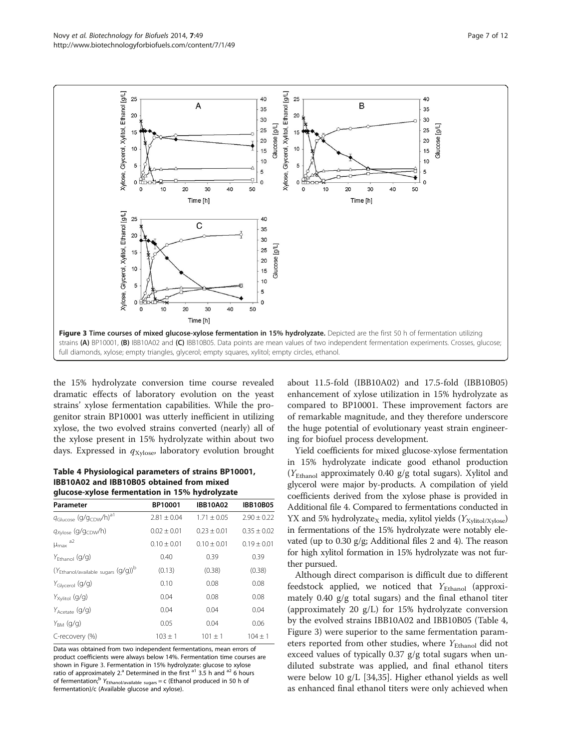<span id="page-6-0"></span>

the 15% hydrolyzate conversion time course revealed dramatic effects of laboratory evolution on the yeast strains' xylose fermentation capabilities. While the progenitor strain BP10001 was utterly inefficient in utilizing xylose, the two evolved strains converted (nearly) all of the xylose present in 15% hydrolyzate within about two days. Expressed in  $q_{Xylose}$ , laboratory evolution brought

## Table 4 Physiological parameters of strains BP10001, IBB10A02 and IBB10B05 obtained from mixed glucose-xylose fermentation in 15% hydrolyzate

| Parameter                                      | BP10001       | <b>IBB10A02</b> | <b>IBB10B05</b> |  |
|------------------------------------------------|---------------|-----------------|-----------------|--|
| Glucose (g/gcDW/h) <sup>a1</sup>               | $7.81 + 0.04$ | $1.71 + 0.05$   | $7.90 + 0.22$   |  |
| $q_{Xvlose}$ (g/g <sub>CDW</sub> /h)           | $0.02 + 0.01$ | $0.23 + 0.01$   | $0.35 + 0.02$   |  |
| a2<br>$\mu_{\text{max}}$                       | $0.10 + 0.01$ | $0.10 + 0.01$   | $0.19 + 0.01$   |  |
| $Y_{\text{Fthanol}}(q/q)$                      | 0.40          | 0.39            | 0.39            |  |
| (YEthanol/available sugars (g/g)) <sup>b</sup> | (0.13)        | (0.38)          | (0.38)          |  |
| $Y_{\text{Glycerol}}(q/q)$                     | 0.10          | 0.08            | 0.08            |  |
| $Y_{Xvlitol}$ (g/g)                            | 0.04          | 0.08            | 0.08            |  |
| $Y_{A\text{cetta}}(q/q)$                       | 0.04          | 0.04            | 0.04            |  |
| $Y_{BM}$ (g/g)                                 | 0.05          | 0.04            | 0.06            |  |
| C-recovery (%)                                 | $103 \pm 1$   | $101 + 1$       | $104 + 1$       |  |

Data was obtained from two independent fermentations, mean errors of product coefficients were always below 14%. Fermentation time courses are shown in Figure 3. Fermentation in 15% hydrolyzate: glucose to xylose ratio of approximately  $2^a$  Determined in the first  $a^1$  3.5 h and  $a^2$  6 hours of fermentation;<sup>b</sup> Y<sub>Ethanol/available sugars</sub> = c (Ethanol produced in 50 h of fermentation)/c (Available glucose and xylose).

about 11.5-fold (IBB10A02) and 17.5-fold (IBB10B05) enhancement of xylose utilization in 15% hydrolyzate as compared to BP10001. These improvement factors are of remarkable magnitude, and they therefore underscore the huge potential of evolutionary yeast strain engineering for biofuel process development.

Yield coefficients for mixed glucose-xylose fermentation in 15% hydrolyzate indicate good ethanol production  $(Y_{\text{Ethanol}}$  approximately 0.40 g/g total sugars). Xylitol and glycerol were major by-products. A compilation of yield coefficients derived from the xylose phase is provided in Additional file [4](#page-10-0). Compared to fermentations conducted in YX and 5% hydrolyzate<sub>X</sub> media, xylitol yields ( $Y_{\text{Xylitol/Xylose}}$ ) in fermentations of the 15% hydrolyzate were notably elevated (up to 0.30 g/g; Additional files [2](#page-10-0) and [4\)](#page-10-0). The reason for high xylitol formation in 15% hydrolyzate was not further pursued.

Although direct comparison is difficult due to different feedstock applied, we noticed that  $Y_{\text{Ethanol}}$  (approximately 0.40 g/g total sugars) and the final ethanol titer (approximately 20 g/L) for 15% hydrolyzate conversion by the evolved strains IBB10A02 and IBB10B05 (Table 4, Figure 3) were superior to the same fermentation parameters reported from other studies, where  $Y_{\text{Ethanol}}$  did not exceed values of typically 0.37 g/g total sugars when undiluted substrate was applied, and final ethanol titers were below 10 g/L [\[34,35](#page-11-0)]. Higher ethanol yields as well as enhanced final ethanol titers were only achieved when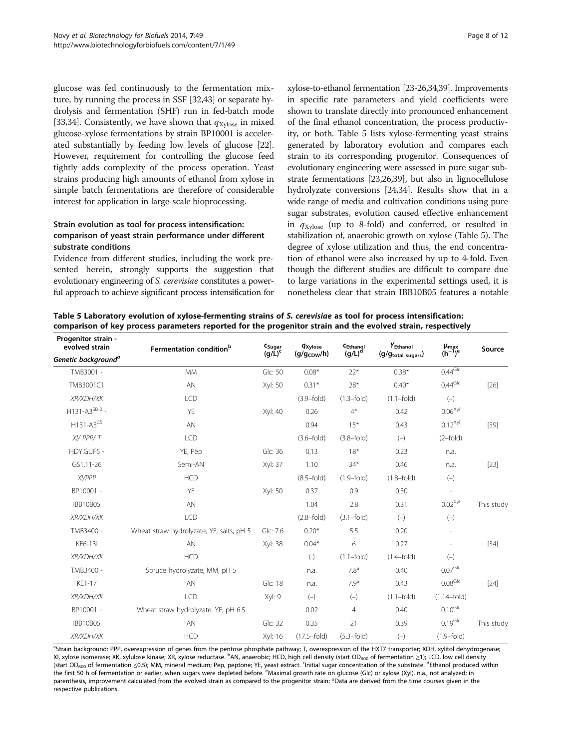<span id="page-7-0"></span>glucose was fed continuously to the fermentation mixture, by running the process in SSF [[32,43](#page-11-0)] or separate hydrolysis and fermentation (SHF) run in fed-batch mode [[33,34](#page-11-0)]. Consistently, we have shown that  $q_{Xvlose}$  in mixed glucose-xylose fermentations by strain BP10001 is accelerated substantially by feeding low levels of glucose [[22](#page-11-0)]. However, requirement for controlling the glucose feed tightly adds complexity of the process operation. Yeast strains producing high amounts of ethanol from xylose in simple batch fermentations are therefore of considerable interest for application in large-scale bioprocessing.

## Strain evolution as tool for process intensification: comparison of yeast strain performance under different substrate conditions

Evidence from different studies, including the work presented herein, strongly supports the suggestion that evolutionary engineering of S. cerevisiae constitutes a powerful approach to achieve significant process intensification for

xylose-to-ethanol fermentation [\[23-26,34,39](#page-11-0)]. Improvements in specific rate parameters and yield coefficients were shown to translate directly into pronounced enhancement of the final ethanol concentration, the process productivity, or both. Table 5 lists xylose-fermenting yeast strains generated by laboratory evolution and compares each strain to its corresponding progenitor. Consequences of evolutionary engineering were assessed in pure sugar substrate fermentations [\[23,26,39](#page-11-0)], but also in lignocellulose hydrolyzate conversions [[24,34\]](#page-11-0). Results show that in a wide range of media and cultivation conditions using pure sugar substrates, evolution caused effective enhancement in  $q_{\text{Xvlose}}$  (up to 8-fold) and conferred, or resulted in stabilization of, anaerobic growth on xylose (Table 5). The degree of xylose utilization and thus, the end concentration of ethanol were also increased by up to 4-fold. Even though the different studies are difficult to compare due to large variations in the experimental settings used, it is nonetheless clear that strain IBB10B05 features a notable

Table 5 Laboratory evolution of xylose-fermenting strains of S. cerevisiae as tool for process intensification: comparison of key process parameters reported for the progenitor strain and the evolved strain, respectively

| Progenitor strain -<br>evolved strain | Fermentation condition <sup>b</sup>      | $c_{Sugar}$ | <b>qxylose</b>          | CEthanol       | Y <sub>Ethanol</sub> | $\mu_{\text{max}}$<br>(h <sup>-1</sup> ) <sup>e</sup> | Source     |
|---------------------------------------|------------------------------------------|-------------|-------------------------|----------------|----------------------|-------------------------------------------------------|------------|
| Genetic background <sup>a</sup>       |                                          | $(g/L)^c$   | (g/g <sub>CDW</sub> /h) | $(g/L)^d$      | (g/gtotal sugars)    |                                                       |            |
| TMB3001 -                             | <b>MM</b>                                | Glc: 50     | $0.08*$                 | $22*$          | $0.38*$              | $0.44$ Glc                                            |            |
| TMB3001C1                             | AN                                       | Xyl: 50     | $0.31*$                 | $28*$          | $0.40*$              | $0.44$ Glc                                            | $[26]$     |
| XR/XDH/XK                             | <b>LCD</b>                               |             | $(3.9-fold)$            | $(1.3-fold)$   | $(1.1-fold)$         | $(-)$                                                 |            |
| $H131-A3^{SB-2}$ -                    | YE                                       | Xyl: 40     | 0.26                    | $4*$           | 0.42                 | $0.06^{Xyl}$                                          |            |
| $H131-A3^{CS}$                        | AN                                       |             | 0.94                    | $15*$          | 0.43                 | $0.12^{Xyl}$                                          | $[39]$     |
| XI/ PPP/T                             | LCD                                      |             | $(3.6 - fold)$          | $(3.8-fold)$   | $(-)$                | $(2-fold)$                                            |            |
| HDY.GUF5 -                            | YE, Pep                                  | Glc: 36     | 0.13                    | $18*$          | 0.23                 | n.a.                                                  |            |
| GS1.11-26                             | Semi-AN                                  | Xyl: 37     | 1.10                    | $34*$          | 0.46                 | n.a.                                                  | $[23]$     |
| XI/PPP                                | <b>HCD</b>                               |             | $(8.5 - fold)$          | $(1.9-fold)$   | $(1.8-fold)$         | $(-)$                                                 |            |
| BP10001 -                             | YE                                       | Xyl: 50     | 0.37                    | 0.9            | 0.30                 | $\overline{\phantom{a}}$                              |            |
| <b>IBB10B05</b>                       | AN                                       |             | 1.04                    | 2.8            | 0.31                 | $0.02^{Xyl}$                                          | This study |
| XR/XDH/XK                             | LCD                                      |             | $(2.8-fold)$            | $(3.1-fold)$   | $(-)$                | $(-)$                                                 |            |
| TMB3400 -                             | Wheat straw hydrolyzate, YE, salts, pH 5 | Glc: 7.6    | $0.20*$                 | 5.5            | 0.20                 | $\overline{\phantom{a}}$                              |            |
| KE6-13i                               | AN                                       | Xyl: 38     | $0.04*$                 | 6              | 0.27                 | $\overline{\phantom{a}}$                              | $[34]$     |
| XR/XDH/XK                             | <b>HCD</b>                               |             | $(-)$                   | $(1.1-fold)$   | $(1.4-fold)$         | $(-)$                                                 |            |
| TMB3400 -                             | Spruce hydrolyzate, MM, pH 5             |             | n.a.                    | $7.8*$         | 0.40                 | $0.07$ Glc                                            |            |
| KE1-17                                | AN                                       | Glc: 18     | n.a.                    | $7.9*$         | 0.43                 | 0.08 <sup>Glc</sup>                                   | $[24]$     |
| XR/XDH/XK                             | LCD                                      | Xyl: 9      | $(-)$                   | $(-)$          | $(1.1-fold)$         | $(1.14-fold)$                                         |            |
| BP10001 -                             | Wheat straw hydrolyzate, YE, pH 6.5      |             | 0.02                    | $\overline{4}$ | 0.40                 | $0.10$ <sup>GIc</sup>                                 |            |
| <b>IBB10B05</b>                       | AN                                       | Glc: 32     | 0.35                    | 21             | 0.39                 | $0.19$ <sup>GIc</sup>                                 | This study |
| XR/XDH/XK                             | <b>HCD</b>                               | Xyl: 16     | $(17.5 - fold)$         | $(5.3-fold)$   | $(-)$                | $(1.9-fold)$                                          |            |

<sup>a</sup>Strain background: PPP, overexpression of genes from the pentose phosphate pathway; T, overexpression of the HXT7 transporter; XDH, xylitol dehydrogenase; XI, xylose isomerase; XK, xylulose kinase; XR, xylose reductase. <sup>b</sup>AN, anaerobic; HCD, high cell density (start OD<sub>600</sub> of fermentation ≥1); LCD, low cell density (start OD<sub>600</sub> of fermentation ≤0.5); MM, mineral medium; Pep, peptone; YE, yeast extract. <sup>c</sup>initial sugar concentration of the substrate. <sup>d</sup>Ethanol produced within the first 50 h of fermentation or earlier, when sugars were depleted before. <sup>e</sup>Maximal growth rate on glucose (Glc) or xylose (Xyl). n.a., not analyzed; in parenthesis, improvement calculated from the evolved strain as compared to the progenitor strain; \*Data are derived from the time courses given in the respective publications.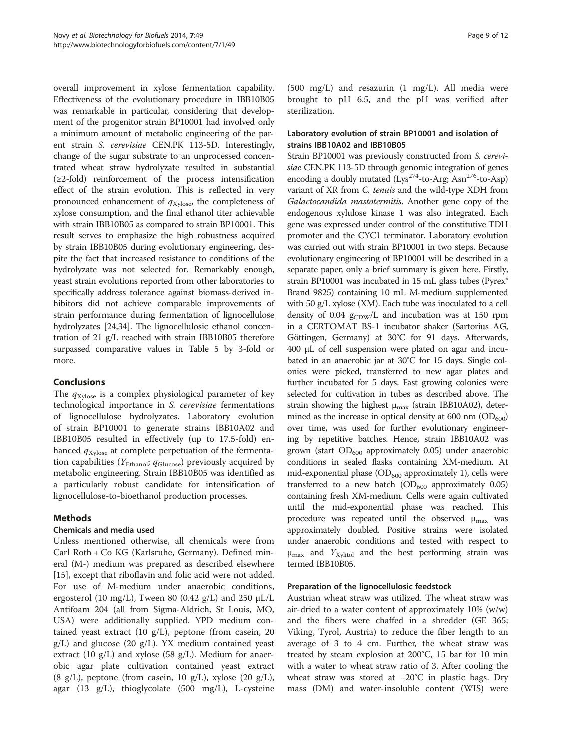<span id="page-8-0"></span>overall improvement in xylose fermentation capability. Effectiveness of the evolutionary procedure in IBB10B05 was remarkable in particular, considering that development of the progenitor strain BP10001 had involved only a minimum amount of metabolic engineering of the parent strain S. cerevisiae CEN.PK 113-5D. Interestingly, change of the sugar substrate to an unprocessed concentrated wheat straw hydrolyzate resulted in substantial (≥2-fold) reinforcement of the process intensification effect of the strain evolution. This is reflected in very pronounced enhancement of  $q_{Xvlose}$ , the completeness of xylose consumption, and the final ethanol titer achievable with strain IBB10B05 as compared to strain BP10001. This result serves to emphasize the high robustness acquired by strain IBB10B05 during evolutionary engineering, despite the fact that increased resistance to conditions of the hydrolyzate was not selected for. Remarkably enough, yeast strain evolutions reported from other laboratories to specifically address tolerance against biomass-derived inhibitors did not achieve comparable improvements of strain performance during fermentation of lignocellulose hydrolyzates [\[24,34\]](#page-11-0). The lignocellulosic ethanol concentration of 21 g/L reached with strain IBB10B05 therefore surpassed comparative values in Table [5](#page-7-0) by 3-fold or more.

## Conclusions

The  $q_{Xylose}$  is a complex physiological parameter of key technological importance in S. cerevisiae fermentations of lignocellulose hydrolyzates. Laboratory evolution of strain BP10001 to generate strains IBB10A02 and IBB10B05 resulted in effectively (up to 17.5-fold) enhanced  $q_{Xvlose}$  at complete perpetuation of the fermentation capabilities ( $Y_{\text{Ethanol}}$ ;  $q_{\text{Glucose}}$ ) previously acquired by metabolic engineering. Strain IBB10B05 was identified as a particularly robust candidate for intensification of lignocellulose-to-bioethanol production processes.

## Methods

#### Chemicals and media used

Unless mentioned otherwise, all chemicals were from Carl Roth + Co KG (Karlsruhe, Germany). Defined mineral (M-) medium was prepared as described elsewhere [[15\]](#page-11-0), except that riboflavin and folic acid were not added. For use of M-medium under anaerobic conditions, ergosterol (10 mg/L), Tween 80 (0.42 g/L) and 250  $\mu$ L/L Antifoam 204 (all from Sigma-Aldrich, St Louis, MO, USA) were additionally supplied. YPD medium contained yeast extract (10 g/L), peptone (from casein, 20 g/L) and glucose (20 g/L). YX medium contained yeast extract (10 g/L) and xylose (58 g/L). Medium for anaerobic agar plate cultivation contained yeast extract (8 g/L), peptone (from casein, 10 g/L), xylose (20 g/L), agar (13 g/L), thioglycolate (500 mg/L), L-cysteine (500 mg/L) and resazurin (1 mg/L). All media were brought to pH 6.5, and the pH was verified after sterilization.

## Laboratory evolution of strain BP10001 and isolation of strains IBB10A02 and IBB10B05

Strain BP10001 was previously constructed from S. cerevisiae CEN.PK 113-5D through genomic integration of genes encoding a doubly mutated  $(Lys^{274}$ -to-Arg; Asn<sup>276</sup>-to-Asp) variant of XR from C. tenuis and the wild-type XDH from Galactocandida mastotermitis. Another gene copy of the endogenous xylulose kinase 1 was also integrated. Each gene was expressed under control of the constitutive TDH promoter and the CYC1 terminator. Laboratory evolution was carried out with strain BP10001 in two steps. Because evolutionary engineering of BP10001 will be described in a separate paper, only a brief summary is given here. Firstly, strain BP10001 was incubated in 15 mL glass tubes (Pyrex® Brand 9825) containing 10 mL M-medium supplemented with 50 g/L xylose (XM). Each tube was inoculated to a cell density of 0.04  $g_{CDW}/L$  and incubation was at 150 rpm in a CERTOMAT BS-1 incubator shaker (Sartorius AG, Göttingen, Germany) at 30°C for 91 days. Afterwards, 400 μL of cell suspension were plated on agar and incubated in an anaerobic jar at 30°C for 15 days. Single colonies were picked, transferred to new agar plates and further incubated for 5 days. Fast growing colonies were selected for cultivation in tubes as described above. The strain showing the highest  $\mu_{\text{max}}$  (strain IBB10A02), determined as the increase in optical density at  $600 \text{ nm}$   $(OD_{600})$ over time, was used for further evolutionary engineering by repetitive batches. Hence, strain IBB10A02 was grown (start  $OD_{600}$  approximately 0.05) under anaerobic conditions in sealed flasks containing XM-medium. At mid-exponential phase  $OD<sub>600</sub>$  approximately 1), cells were transferred to a new batch ( $OD<sub>600</sub>$  approximately 0.05) containing fresh XM-medium. Cells were again cultivated until the mid-exponential phase was reached. This procedure was repeated until the observed  $\mu_{\text{max}}$  was approximately doubled. Positive strains were isolated under anaerobic conditions and tested with respect to  $\mu_{\text{max}}$  and  $Y_{\text{Xvlitol}}$  and the best performing strain was termed IBB10B05.

## Preparation of the lignocellulosic feedstock

Austrian wheat straw was utilized. The wheat straw was air-dried to a water content of approximately 10% (w/w) and the fibers were chaffed in a shredder (GE 365; Viking, Tyrol, Austria) to reduce the fiber length to an average of 3 to 4 cm. Further, the wheat straw was treated by steam explosion at 200°C, 15 bar for 10 min with a water to wheat straw ratio of 3. After cooling the wheat straw was stored at −20°C in plastic bags. Dry mass (DM) and water-insoluble content (WIS) were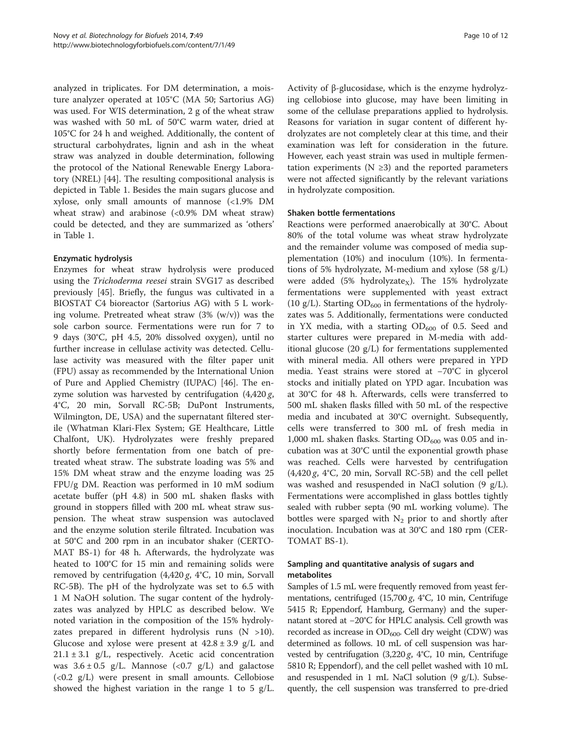analyzed in triplicates. For DM determination, a moisture analyzer operated at 105°C (MA 50; Sartorius AG) was used. For WIS determination, 2 g of the wheat straw was washed with 50 mL of 50°C warm water, dried at 105°C for 24 h and weighed. Additionally, the content of structural carbohydrates, lignin and ash in the wheat straw was analyzed in double determination, following the protocol of the National Renewable Energy Laboratory (NREL) [\[44\]](#page-11-0). The resulting compositional analysis is depicted in Table [1](#page-2-0). Besides the main sugars glucose and xylose, only small amounts of mannose (<1.9% DM wheat straw) and arabinose (<0.9% DM wheat straw) could be detected, and they are summarized as 'others' in Table [1.](#page-2-0)

## Enzymatic hydrolysis

Enzymes for wheat straw hydrolysis were produced using the Trichoderma reesei strain SVG17 as described previously [\[45](#page-11-0)]. Briefly, the fungus was cultivated in a BIOSTAT C4 bioreactor (Sartorius AG) with 5 L working volume. Pretreated wheat straw (3% (w/v)) was the sole carbon source. Fermentations were run for 7 to 9 days (30°C, pH 4.5, 20% dissolved oxygen), until no further increase in cellulase activity was detected. Cellulase activity was measured with the filter paper unit (FPU) assay as recommended by the International Union of Pure and Applied Chemistry (IUPAC) [\[46](#page-11-0)]. The enzyme solution was harvested by centrifugation  $(4,420 g, 420 g, 420 g, 420 g, 420 g, 420 g, 420 g, 420 g, 420 g, 420 g, 420 g, 420 g, 420 g, 420 g, 420 g, 420 g, 420 g, 420 g, 420 g, 420 g, 420 g, 420 g, 420 g, 420 g, 420 g, 420 g, 420 g, 420 g, 420$ 4°C, 20 min, Sorvall RC-5B; DuPont Instruments, Wilmington, DE, USA) and the supernatant filtered sterile (Whatman Klari-Flex System; GE Healthcare, Little Chalfont, UK). Hydrolyzates were freshly prepared shortly before fermentation from one batch of pretreated wheat straw. The substrate loading was 5% and 15% DM wheat straw and the enzyme loading was 25 FPU/g DM. Reaction was performed in 10 mM sodium acetate buffer (pH 4.8) in 500 mL shaken flasks with ground in stoppers filled with 200 mL wheat straw suspension. The wheat straw suspension was autoclaved and the enzyme solution sterile filtrated. Incubation was at 50°C and 200 rpm in an incubator shaker (CERTO-MAT BS-1) for 48 h. Afterwards, the hydrolyzate was heated to 100°C for 15 min and remaining solids were removed by centrifugation  $(4,420 g, 4^{\circ}C, 10 \text{ min},$  Sorvall RC-5B). The pH of the hydrolyzate was set to 6.5 with 1 M NaOH solution. The sugar content of the hydrolyzates was analyzed by HPLC as described below. We noted variation in the composition of the 15% hydrolyzates prepared in different hydrolysis runs (N >10). Glucose and xylose were present at  $42.8 \pm 3.9$  g/L and  $21.1 \pm 3.1$  g/L, respectively. Acetic acid concentration was  $3.6 \pm 0.5$  g/L. Mannose (<0.7 g/L) and galactose  $\left($ <0.2 g/L) were present in small amounts. Cellobiose showed the highest variation in the range 1 to 5  $g/L$ .

Activity of β-glucosidase, which is the enzyme hydrolyzing cellobiose into glucose, may have been limiting in some of the cellulase preparations applied to hydrolysis. Reasons for variation in sugar content of different hydrolyzates are not completely clear at this time, and their examination was left for consideration in the future. However, each yeast strain was used in multiple fermentation experiments ( $N \geq 3$ ) and the reported parameters were not affected significantly by the relevant variations in hydrolyzate composition.

## Shaken bottle fermentations

Reactions were performed anaerobically at 30°C. About 80% of the total volume was wheat straw hydrolyzate and the remainder volume was composed of media supplementation (10%) and inoculum (10%). In fermentations of 5% hydrolyzate, M-medium and xylose (58 g/L) were added  $(5%$  hydrolyzate<sub>X</sub>). The 15% hydrolyzate fermentations were supplemented with yeast extract (10 g/L). Starting  $OD_{600}$  in fermentations of the hydrolyzates was 5. Additionally, fermentations were conducted in YX media, with a starting  $OD_{600}$  of 0.5. Seed and starter cultures were prepared in M-media with additional glucose (20 g/L) for fermentations supplemented with mineral media. All others were prepared in YPD media. Yeast strains were stored at −70°C in glycerol stocks and initially plated on YPD agar. Incubation was at 30°C for 48 h. Afterwards, cells were transferred to 500 mL shaken flasks filled with 50 mL of the respective media and incubated at 30°C overnight. Subsequently, cells were transferred to 300 mL of fresh media in 1,000 mL shaken flasks. Starting  $OD_{600}$  was 0.05 and incubation was at 30°C until the exponential growth phase was reached. Cells were harvested by centrifugation  $(4,420 \text{ g}, 4^{\circ}\text{C}, 20 \text{ min},$  Sorvall RC-5B) and the cell pellet was washed and resuspended in NaCl solution (9 g/L). Fermentations were accomplished in glass bottles tightly sealed with rubber septa (90 mL working volume). The bottles were sparged with  $N_2$  prior to and shortly after inoculation. Incubation was at 30°C and 180 rpm (CER-TOMAT BS-1).

## Sampling and quantitative analysis of sugars and metabolites

Samples of 1.5 mL were frequently removed from yeast fermentations, centrifuged  $(15,700 \text{ g}, 4^{\circ}\text{C}, 10 \text{ min},$  Centrifuge 5415 R; Eppendorf, Hamburg, Germany) and the supernatant stored at −20°C for HPLC analysis. Cell growth was recorded as increase in  $OD_{600}$ . Cell dry weight (CDW) was determined as follows. 10 mL of cell suspension was harvested by centrifugation  $(3,220 g, 4^{\circ}C, 10 \text{ min},$  Centrifuge 5810 R; Eppendorf ), and the cell pellet washed with 10 mL and resuspended in 1 mL NaCl solution (9 g/L). Subsequently, the cell suspension was transferred to pre-dried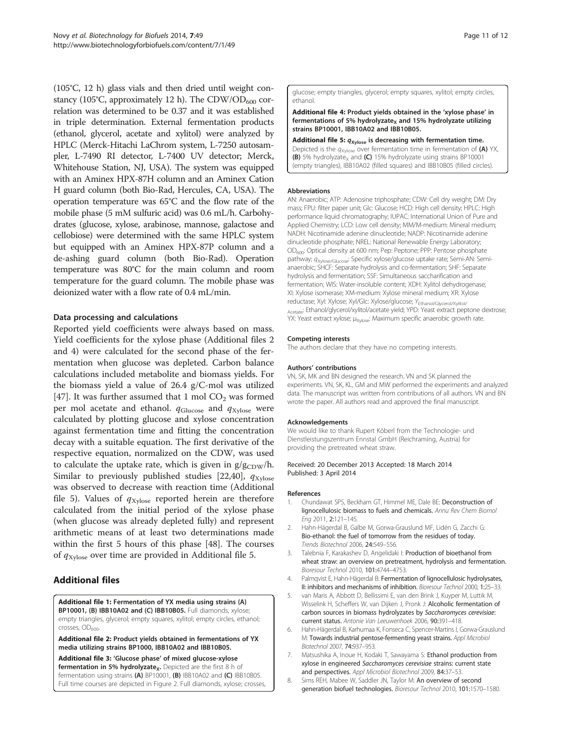<span id="page-10-0"></span>(105°C, 12 h) glass vials and then dried until weight constancy (105°C, approximately 12 h). The CDW/OD $_{600}$  correlation was determined to be 0.37 and it was established in triple determination. External fermentation products (ethanol, glycerol, acetate and xylitol) were analyzed by HPLC (Merck-Hitachi LaChrom system, L-7250 autosampler, L-7490 RI detector, L-7400 UV detector; Merck, Whitehouse Station, NJ, USA). The system was equipped with an Aminex HPX-87H column and an Aminex Cation H guard column (both Bio-Rad, Hercules, CA, USA). The operation temperature was 65°C and the flow rate of the mobile phase (5 mM sulfuric acid) was 0.6 mL/h. Carbohydrates (glucose, xylose, arabinose, mannose, galactose and cellobiose) were determined with the same HPLC system but equipped with an Aminex HPX-87P column and a de-ashing guard column (both Bio-Rad). Operation temperature was 80°C for the main column and room temperature for the guard column. The mobile phase was deionized water with a flow rate of 0.4 mL/min.

#### Data processing and calculations

Reported yield coefficients were always based on mass. Yield coefficients for the xylose phase (Additional files 2 and 4) were calculated for the second phase of the fermentation when glucose was depleted. Carbon balance calculations included metabolite and biomass yields. For the biomass yield a value of 26.4 g/C-mol was utilized [[47\]](#page-11-0). It was further assumed that 1 mol  $CO<sub>2</sub>$  was formed per mol acetate and ethanol.  $q_{\text{Glucose}}$  and  $q_{\text{Xvlose}}$  were calculated by plotting glucose and xylose concentration against fermentation time and fitting the concentration decay with a suitable equation. The first derivative of the respective equation, normalized on the CDW, was used to calculate the uptake rate, which is given in  $g/g_{CDW}/h$ . Similar to previously published studies [[22,40\]](#page-11-0),  $q_{\text{Xvlose}}$ was observed to decrease with reaction time (Additional file 5). Values of  $q_{Xvlose}$  reported herein are therefore calculated from the initial period of the xylose phase (when glucose was already depleted fully) and represent arithmetic means of at least two determinations made within the first 5 hours of this phase [[48\]](#page-11-0). The courses of  $q_{Xvlose}$  over time are provided in Additional file 5.

## Additional files

[Additional file 1:](http://www.biomedcentral.com/content/supplementary/1754-6834-7-49-S1.docx) Fermentation of YX media using strains (A) BP10001, (B) IBB10A02 and (C) IBB10B05. Full diamonds, xylose; empty triangles, glycerol; empty squares, xylitol; empty circles, ethanol;  $crosses, OD<sub>600</sub>$ 

[Additional file 2:](http://www.biomedcentral.com/content/supplementary/1754-6834-7-49-S2.xlsx) Product yields obtained in fermentations of YX media utilizing strains BP1000, IBB10A02 and IBB10B05.

[Additional file 3:](http://www.biomedcentral.com/content/supplementary/1754-6834-7-49-S3.docx) 'Glucose phase' of mixed glucose-xylose fermentation in 5% hydrolyzate<sub>x</sub>. Depicted are the first 8 h of fermentation using strains (A) BP10001, (B) IBB10A02 and (C) IBB10B05. Full time courses are depicted in Figure [2.](#page-4-0) Full diamonds, xylose; crosses, glucose; empty triangles, glycerol; empty squares, xylitol; empty circles, ethanol.

[Additional file 4:](http://www.biomedcentral.com/content/supplementary/1754-6834-7-49-S4.xlsx) Product yields obtained in the 'xylose phase' in fermentations of 5% hydrolyzate<sub>x</sub> and 15% hydrolyzate utilizing strains BP10001, IBB10A02 and IBB10B05.

[Additional file 5:](http://www.biomedcentral.com/content/supplementary/1754-6834-7-49-S5.docx)  $q_{Xylose}$  is decreasing with fermentation time. Depicted is the  $q_{\text{Xylose}}$  over fermentation time in fermentation of (A) YX, (B) 5% hydrolyzate<sub>x</sub> and (C) 15% hydrolyzate using strains BP10001 (empty triangles), IBB10A02 (filled squares) and IBB10B05 (filled circles).

#### Abbreviations

AN: Anaerobic; ATP: Adenosine triphosphate; CDW: Cell dry weight; DM: Dry mass; FPU: filter paper unit; Glc: Glucose; HCD: High cell density; HPLC: High performance liquid chromatography; IUPAC: International Union of Pure and Applied Chemistry; LCD: Low cell density; MM/M-medium: Mineral medium; NADH: Nicotinamide adenine dinucleotide; NADP: Nicotinamide adenine dinucleotide phosphate; NREL: National Renewable Energy Laboratory; OD600: Optical density at 600 nm; Pep: Peptone; PPP: Pentose phosphate pathway;  $q_{\text{Xylose/Glucose}}$ : Specific xylose/glucose uptake rate; Semi-AN: Semianaerobic; SHCF: Separate hydrolysis and co-fermentation; SHF: Separate hydrolysis and fermentation; SSF: Simultaneous saccharification and fermentation; WIS: Water-insoluble content; XDH: Xylitol dehydrogenase; XI: Xylose isomerase; XM-medium: Xylose mineral medium; XR: Xylose reductase; Xyl: Xylose; Xyl/Glc: Xylose/glucose; YEthanol/Glycerol/Xylitol/ Acetate: Ethanol/glycerol/xylitol/acetate yield; YPD: Yeast extract peptone dextrose; YX: Yeast extract xylose; μ<sub>Xylose</sub>: Maximum specific anaerobic growth rate.

#### Competing interests

The authors declare that they have no competing interests.

#### Authors' contributions

VN, SK, MK and BN designed the research. VN and SK planned the experiments. VN, SK, KL, GM and MW performed the experiments and analyzed data. The manuscript was written from contributions of all authors. VN and BN wrote the paper. All authors read and approved the final manuscript.

#### Acknowledgements

We would like to thank Rupert Köberl from the Technologie- und Dienstleistungszentrum Ennstal GmbH (Reichraming, Austria) for providing the pretreated wheat straw.

#### Received: 20 December 2013 Accepted: 18 March 2014 Published: 3 April 2014

#### References

- 1. Chundawat SPS, Beckham GT, Himmel ME, Dale BE: Deconstruction of lignocellulosic biomass to fuels and chemicals. Annu Rev Chem Biomol Eng 2011, 2:121–145.
- 2. Hahn-Hägerdal B, Galbe M, Gorwa-Grauslund MF, Lidén G, Zacchi G: Bio-ethanol: the fuel of tomorrow from the residues of today. Trends Biotechnol 2006, 24:549–556.
- Talebnia F, Karakashev D, Angelidaki I: Production of bioethanol from wheat straw: an overview on pretreatment, hydrolysis and fermentation. Bioresour Technol 2010, 101:4744–4753.
- 4. Palmqvist E, Hahn-Hägerdal B: Fermentation of lignocellulosic hydrolysates, II: inhibitors and mechanisms of inhibition. Bioresour Technol 2000, 1:25–33.
- 5. van Maris A, Abbott D, Bellissimi E, van den Brink J, Kuyper M, Luttik M, Wisselink H, Scheffers W, van Dijken J, Pronk J: Alcoholic fermentation of carbon sources in biomass hydrolyzates by Saccharomyces cerevisiae: current status. Antonie Van Leeuwenhoek 2006, 90:391–418.
- 6. Hahn-Hägerdal B, Karhumaa K, Fonseca C, Spencer-Martins I, Gorwa-Grauslund M: Towards industrial pentose-fermenting yeast strains. Appl Microbiol Biotechnol 2007, 74:937–953.
- 7. Matsushika A, Inoue H, Kodaki T, Sawayama S: Ethanol production from xylose in engineered Saccharomyces cerevisiae strains: current state and perspectives. Appl Microbiol Biotechnol 2009, 84:37–53.
- 8. Sims REH, Mabee W, Saddler JN, Taylor M: An overview of second generation biofuel technologies. Bioresour Technol 2010, 101:1570–1580.